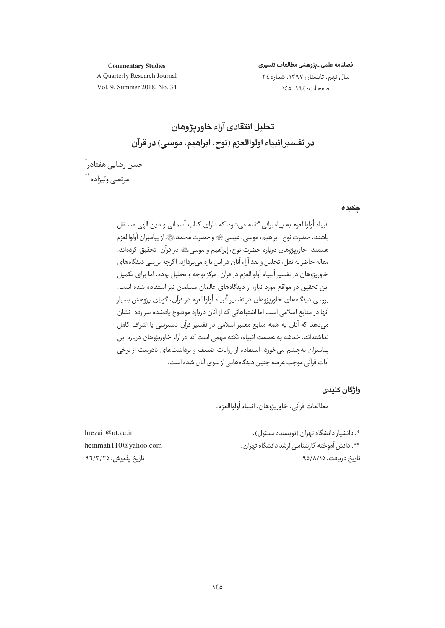**Commentary Studies** 

فصلنامه علمى ـ يژوهشى مطالعات تفسيرى سال نهم، تابستان ١٣٩٧، شماره ٣٤ صفحات: ١٦٤\_١٤٥

A Quarterly Research Journal Vol. 9, Summer 2018, No. 34

# تحليل انتقادي آراء خاور بژوهان در تفسير انبياء اولواالعزم (نوح، ابراهيم، موسى) در قرآن

حسن رضایے، هفتادر ؓ مرتضى وليزاده \*\*

#### چکیدہ

انبياء أولواالعزم به پيامبراني گفته مي شود كه داراي كتاب آسماني و دين الهي مستقل باشند. حضرت نوح، إبراهيم، موسى، عيسىﷺ و حضرت محمدﷺ از پيامبران أولواالعزم هستند. خاوریژوهان درباره حضرت نوح، إبراهیم و موسی ﷺ در قرآن، تحقیق کردهاند. مقاله حاضر به نقل، تحلیل و نقد آراء آنان در این باره می پردازد. اگرچه بررسی دیدگاههای خاوریژوهان در تفسیر أنبیاء أولواالعزم در قرآن، مرکز توجه و تحلیل بوده، اما برای تکمیل این تحقیق در مواقع مورد نیاز، از دیدگاههای عالمان مسلمان نیز استفاده شده است. بررسي ديدگاههاي خاورپژوهان در تفسير أنبياء أولواالعزم در قرآن، گوياي پژوهش بسيار .<br>آنها در منابع اسلامی است اما اشتباهاتی که از آنان درباره موضوع یادشده سر زده، نشان مے دھد که آنان به همه منابع معتبر اسلامی در تفسیر قرآن دسترسی با اشراف کامل نداشتهاند. خدشه به عصمت انبیاء، نکته مهمی است که در آراء خاوریژوهان درباره این بیامبران بهچشم می خورد. استفاده از روایات ضعیف و برداشتهای نادرست از برخی آیات قرآنی موجب عرضه چنین دیدگاههایی از سوی آنان شده است.

واژگان کلیدی

مطالعات قرآني، خاور بيژوهان، انساء أولواالعزم.

\*. دانشیار دانشگاه تهران (نویسنده مسئول). \*\*. دانش آموخته کارشناسی ارشد دانشگاه تهران. تاریخ دریافت: ۹۵/۸/۱۵

hrezaii@ut.ac.ir hemmati110@yahoo.com تاریخ یذیرش: ۹٦/٣/٢٥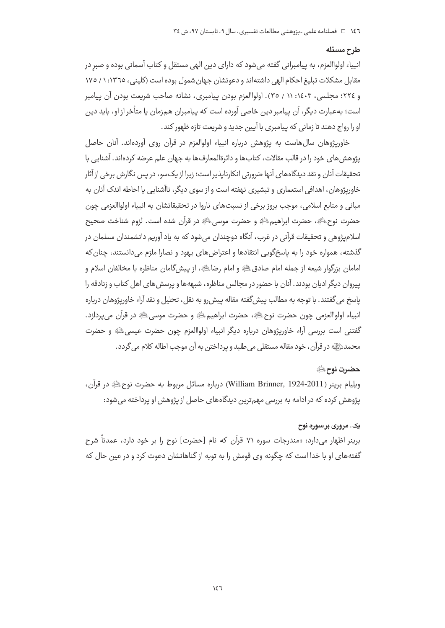#### طرح مسئله

انبياء اولواالعزم، به پيامبراني گفته مي شود كه داراي دين الهي مستقل و كتاب آسماني بوده و صبر در مقابل مشکلات تبلیغ احکام الهی داشتهاند و دعوتشان جهان شمول بوده است (کلینی، ١٣٦٥: ١/ ١٧٥ و ٢٢٤؛ مجلسي، ١٤٠٣: ١١ / ٣٥). اولواالعزم بودن پيامبري، نشانه صاحب شريعت بودن آن پيامبر است؛ بهعبارت دیگر، آن پیامبر دین خاصی آورده است که پیامبران همزمان یا متأخر از او، باید دین اورا رواج دهند تا زماني كه پيامبري با آيين حديد و شريعت تازه ظهور كند.

خاوریژوهان سال@است به پژوهش درباره انبیاء اولوالعزم در قرآن روی آوردهاند. آنان حاصل يژوهش هاي خود را در قالب مقالات، كتاب ها و دائرةالمعارف ها به جهان علم عرضه كردهاند. آشنايي با تحقیقات آنان و نقد دیدگاههای آنها ضرورتی انکارناپذیر است؛ زیرا از یک سو، در پس نگارش برخی از آثار خاوریژوهان، اهدافی استعماری و تبشیری نهفته است و از سوی دیگر، ناآشنایی یا احاطه اندک آنان به مباني و منابع اسلامي، موجب بروز برخي از نسبتهاي ناروا در تحقيقاتشان به انبياء اولواالعزمي چون حضرت نوح ﷺ، حضرت ابراهيم ﷺ و حضرت موسى ﷺ در قرآن شده است. لزوم شناخت صحيح اسلامپژوهی و تحقیقات قرآنی در غرب، آنگاه دوچندان میشود که به یاد آوریم دانشمندان مسلمان در گذشته، همواره خود را به پاسخگویی انتقادها و اعتراض های یهود و نصارا ملزم می دانستند، چنان که امامان بزرگوار شیعه از جمله امام صادقﷺ و امام رضاءﷺ، از پیش گامان مناظره با مخالفان اسلام و پیروان دیگر ادیان بودند. آنان با حضور در مجالس مناظره، شبههها و پرسش های اهل کتاب و زنادقه را ياسخ مي گفتند. با توجه به مطالب پيش گفته مقاله پيش رو به نقل، تحليل و نقد آراء خاورپژوهان درباره انبياء اولواالعزمي چون حضرت نوحﷺ، حضرت ابراهيمﷺ و حضرت موسى ﷺ در قرآن مي يردازد. گفتنی است بررسی آراء خاورپژوهان درباره دیگر انبیاء اولواالعزم چون حضرت عیسی،ﷺ و حضرت محمدﷺ در قرآن، خود مقاله مستقلي مي طلبد و پرداختن به آن موجب اطاله كلام مي گردد .

#### حضرت نوح ﷺ

ويليام برينر ( William Brinner, 1924-2011) درباره مسائل مربوط به حضرت نوحﷺ در قرآن، یژوهش کرده که در ادامه به بررسی مهمترین دیدگاههای حاصل از یژوهش او پرداخته می شود:

#### یک. مروری برسوره نوح

برینر اظهار می دارد: «مندرجات سوره ۷۱ قرآن که نام [حضرت] نوح را بر خود دارد، عمدتاً شرح گفته های او با خدا است که چگونه وی قومش را به توبه از گناهانشان دعوت کرد و در عین حال که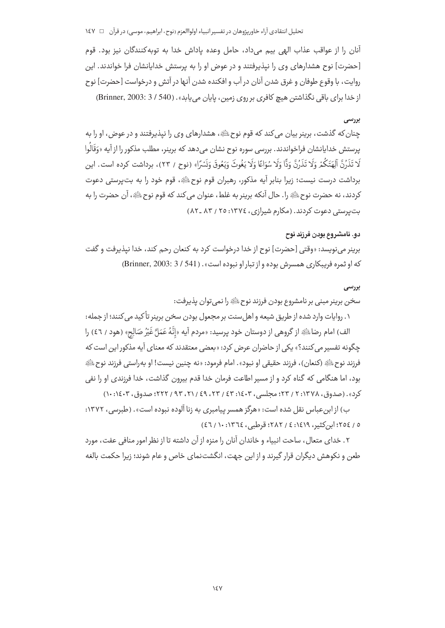#### تحليل انتقادي آراء خاوريژوهان در تفسير انبياء اولواالعزم (نوح، ابراهيم، موسى) در قرآن □ 1٤٧

آنان را از عواقب عذاب الهي بيم مي داد، حامل وعده ياداش خدا به توبه كنندگان نيز بود. قوم [حضرت] نوح هشدارهای وی را نیذیرفتند و در عوض او را به پرستش خدایانشان فرا خواندند. این روايت، با وقوع طوفان و غرق شدن آنان در آب و افكنده شدن آنها در آتش و درخواست [حضرت] نوح از خدا برای باقی نگذاشتن هیچ کافری بر روی زمین، پایان می یابد». (Brinner, 2003: 3 / 540)

## بررسي

چنان که گذشت، برینر بیان می کند که قوم نوح ﷺ، هشدارهای وی را نیذیرفتند و در عوض، او را به پرستش خدایانشان فراخواندند. بررسی سوره نوح نشان می۵دهد که برینر، مطلب مذکور را از آیه «وَقَالُوا لَا تَذَرُنَّ آلِهَتَكُمْ وَلَا تَذَرُنَّ وَدًّا وَلَا سُوَاعًا وَلَا يَغُوثَ وَيَعُوقَ وَنَسْرًا» (نوح / ٢٣)، برداشت كرده است. اين برداشت درست نيست؛ زيرا بنابر آيه مذكور، رهبران قوم نوحﷺ، قوم خود را به بتيرستي دعوت كردند، نه حضرت نوحﷺ را. حال آنكه برينر به غلط، عنوان مي كند كه قوم نوح ﷺ، آن حضرت را به بت پرستی دعوت کردند. (مکارم شیرازی، ۱۳۷٤: ۲۵ / ۸۳ ـ ۸۲)

# دو. نامشروع بودن فرزند نوح

برينر مي نويسد: «وقتي [حضرت] نوح از خدا درخواست كرد به كنعان رحم كند، خدا نيذيرفت و گفت كه او ثمره فريبكاري همسرش بوده و از تبار او نبوده است». ( Brinner, 2003: 3 / 541)

#### بررسى

سخن برينر مبني بر نامشروع بودن فرزند نوح ﷺ را نمي توان يذيرفت: ١. روايات وارد شده از طريق شيعه و اهل سنت بر مجعول بودن سخن برينر تأكيد مي كنند؛ از جمله: الف) امام رضاءليًّا از گروهي از دوستان خود پرسيد: «مردم آيه «إِنَّهُ عَمَلٌ غَيْرُ صَالِحٍ» (هود / ٤٦) را چگونه تفسیر می کنند؟» یکی از حاضران عرض کرد: «بعضی معتقدند که معنای آیه مذکور این است که فرزند نوح ﷺ (كنعان)، فرزند حقيقي او نبود». امام فرمود: «نه چنين نيست! او بهراستي فرزند نوح ﷺ بود، اما هنگامی که گناه کرد و از مسیر اطاعت فرمان خدا قدم بیرون گذاشت، خدا فرزندی او را نفی كرد». (صدوق، ۱۳۷۸: ۲ / ۲۳؛ مجلسي، ۶۳: ۶۳؛ ۶۳ / ۲۳، ۶۹، ۲۲، ۹۳ / ۲۲۲؛ صدوق، ۱۰:۱۶۰۳)

ب) از ابن عباس نقل شده است: «هرگز همسر پیامبری به زنا آلوده نبوده است». (طبرسی، ۱۳۷۲: ٥ / ٢٥٤؛ ابن كثير، ١٤١٩: ٤ / ٢٨٢؛ قرطبي، ١٣٦٤: ١٠ / ٤٦)

٢. خدای متعال، ساحت انبیاء و خاندان آنان را منزه از آن داشته تا از نظر امور منافی عفت، مورد طعن و نکوهش دیگران قرار گیرند و از این جهت، انگشتنمای خاص و عام شوند؛ زیرا حکمت بالغه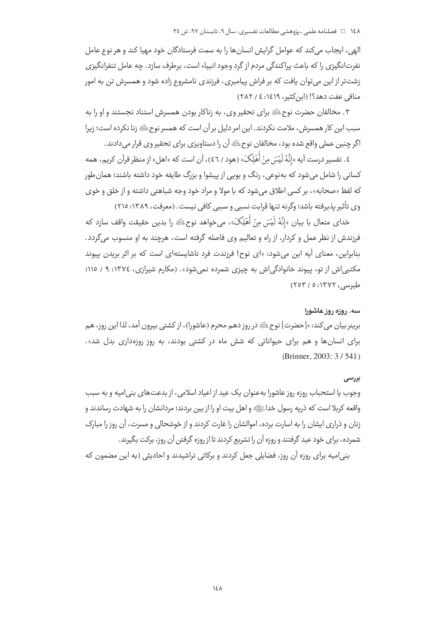الهی، ایجاب میکند که عوامل گرایش انسانها را به سمت فرستادگان خود مهیا کند و هر نوع عامل نفرتانگیزی را که باعث پراکندگی مردم از گرد وجود انبیاء است، برطرف سازد. چه عامل تنفرانگیزی زشتتر از این می توان یافت که بر فراش پیامبری، فرزندی نامشروع زاده شود و همسرش تن به امور منافي عفت دهد؟! (ابن كثير، ١٤١٩: ٤ / ٢٨٢)

۳. مخالفان حضرت نوحﷺ براي تحقير وي، به زناكار بودن همسرش استناد نجستند و او را به سبب این کار همسرش ، ملامت نکردند. این امر دلیل بر آن است که همسر نوح ﷺ زنا نکرده است؛ زیرا اگر چنین عملی واقع شده بود، مخالفان نوح ﷺ آن را دستاویزی برای تحقیر وی قرار می دادند.

٤. تفسير درست آيه «انَّهُ لَيْسَ مِنْ أَهْلِكَ» (هود / ٤٦)، آن است كه «اهل» از منظر قرآن كريم، همه کسانی را شامل می شود که به نوعی ، رنگ و بویی از پیشوا و بزرگ طایفه خود داشته باشند؛ همان طور که لفظ «صحابه»، بر کسی اطلاق می شود که با مولا و مراد خود وجه شباهتی داشته و از خلق و خوی وي تأثير پذيرفته باشد؛ وگرنه تنها قرابت نسبي و سببي كافي نيست. (معرفت، ١٣٨٩: ٢١٥)

خداي متعال با بيان «إِنَّهُ لَيْسَ مِنْ أَهْلِكَ»، مي خواهد نوح ﷺ را بدين حقيقت واقف سازد كه فرزندش از نظر عمل و کردار، از راه و تعالیم وی فاصله گرفته است، هرچند به او منسوب میگردد. بنابراین، معنای آیه این می شود: «ای نوح! فرزندت فرد ناشایستهای است که بر اثر بریدن ییوند مکتبی اش از تو، پیوند خانوادگی اش به چیزی شمرده نمی شود». (مکارم شیرازی، ١٣٧٤: ٩ / ١١٥؛ طبرسی، ۱۳۷۲: ۰ / ۲۵۳)

#### سه. روزه روز عاشورا

برينر بيان مي كند: «[حضرت] نوح ﷺ در روز دهم محرم (عاشورا)، از كشتى بيرون آمد، لذا اين روز، هم برای انسانها و هم برای حیواناتی که شش ماه در کشتی بودند، به روز روزهداری بدل شد». (Brinner, 2003: 3/541)

#### یو ویسے ر

وجوب يا استحباب روزه روز عاشورا به عنوان يک عيد از اعياد اسلامي، از بدعت هاي بني اميه و به سبب واقعه کربلا است که ذریه رسول خداﷺ و اهل بیت او را از بین بردند؛ مردانشان را به شهادت رساندند و زنان و ذراری ایشان را به اسارت برده، اموالشان را غارت کردند و از خوشحالی و مسرت، آن روز را مبارک شمرده، برای خود عید گرفتند و روزه آن را تشریع کردند تا از روزه گرفتن آن روز، برکت بگیرند.

ینی|میه برای روزه آن روز، فضایلی جعل کردند و برکاتی تراشیدند و احادیثی (به این مضمون که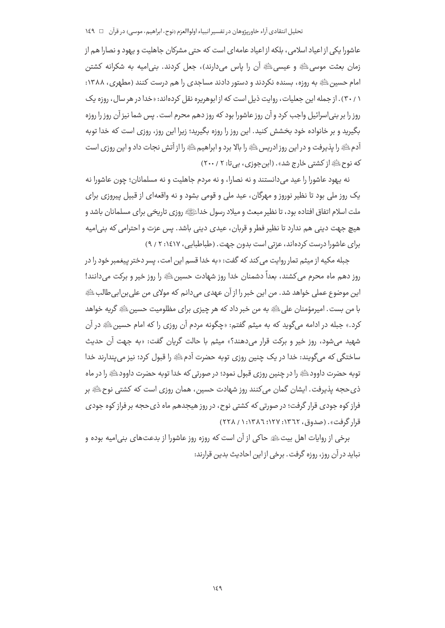عاشورا یکی از اعیاد اسلامی، بلکه از اعیاد عامهای است که حتی مشرکان جاهلیت و یهود و نصارا هم از زمان بعثت موسى ﷺ و عيسى ﷺ أن را ياس مى دارند)، جعل كردند. بنى اميه به شكرانه كشتن امام حسین ﷺ به روزه، بسنده نکردند و دستور دادند مساجدی را هم درست کنند (مطهری، ۱۳۸۸: ۳۰/۱). از جمله این جعلیات، روایت ذیل است که از ابوهریره نقل کردهاند: «خدا در هر سال، روزه یک روز را بر بنی|سرائیل واجب کرد و آن روز عاشورا بود که روز دهم محرم است. پس شما نیز آن روز را روزه بگیرید و بر خانواده خود بخشش کنید. این روز را روزه بگیرید؛ زیرا این روز، روزی است که خدا توبه آدم ﷺ را پذیرفت و در این روز ادریس ﷺ را بالا برد و ابراهیم ﷺ را از آتش نجات داد و این روزی است که نوح ﷺ از کشتی خارج شد» . (ابن جوزی ، بی تا: ۲۰۰/ ۲۰۰)

نه يهود عاشورا را عيد مي دانستند و نه نصارا، و نه مردم جاهليت و نه مسلمانان؛ چون عاشورا نه یک روز ملی بود تا نظیر نوروز و مهرگان، عید ملی و قومی بشود و نه واقعهای از قبیل پیروزی برای ملت اسلام اتفاق افتاده بود، تا نظیر مبعث و میلاد رسول خداﷺ روزی تاریخی برای مسلمانان باشد و هيچ جهت ديني هم ندارد تا نظير فطر و قربان، عيدي ديني باشد. پس عزت و احترامي كه بني|ميه برای عاشورا درست کردهاند، عزتی است بدون جهت. (طباطبایی، ۱٤١٧: ٢ / ٩)

جبله مکیه از میثم تمار روایت می *ک*ند که گفت: «به خدا قسم این امت، پسر دختر پیغمبر خود را در روز دهم ماه محرم می کشند، بعداً دشمنان خدا روز شهادت حسین ﷺ را روز خیر و برکت می دانند! اين موضوع عملي خواهد شد. من اين خبر را از آن عهدي مي دانم كه مولاي من علي بن ابي طالبﷺ با من بست. امپرمؤمنان علي ﷺ به من خبر داد که هر چيزي براي مظلوميت حسين ﷺ گريه خواهد کرد.» جبله در ادامه میگوید که به میثم گفتم: «چگونه مردم آن روزی را که امام حسین ﷺ در آن شهيد مي شود، روز خير و بركت قرار مي دهند؟» ميثم با حالت گريان گفت: «به جهت آن حديث ساختگي که ميگويند: خدا در يک چنين روزي توبه حضرت آدمﷺ را قبول کرد؛ نيز مي پندارند خدا توبه حضرت داوود ﷺ را در چنین روزی قبول نمود؛ در صورتی که خدا توبه حضرت داوود ﷺ را در ماه ذي حجه پذيرفت. ايشان گمان مي كنند روز شهادت حسين، همان روزي است كه كشتي نوح ﷺ بر فراز کوه جودی قرار گرفت؛ در صورتی که کشتی نوح، در روز هیجدهم ماه ذی حجه بر فراز کوه جودی قرار گرفت» . (صدوق، ۲۲٦۲: ۱۲۷: ۱۳۸٦: ۱ / ۲۲۸)

برخی از روایات اهل بیتﷺ حاکی از آن است که روزه روز عاشورا از بدعتهای بنی امیه بوده و نبايد در آن روز، روزه گرفت. پرخې از اين احاديث بدين قرارند: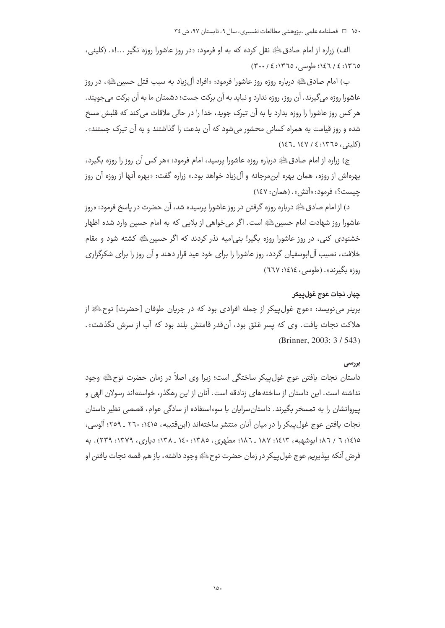۱۵۰ = فصلنامه علمی ـ پژوهشی مطالعات تفسیری، سال ۹، تابستان ۹۷، ش ۳٤

الف) زراره از امام صادقﷺ نقل كرده كه به او فرمود: «در روز عاشورا روزه نگير ...!». (كليني، ١٣٦٥: ٤ / ١٤٦؛ طوسى، ١٣٦٥: ٤ / ٣٠٠)

ب) امام صادقﷺ درباره روزه روز عاشورا فرمود: «افراد آلiباد به سبب قتل حسینﷺ، در روز عاشورا روزه مي گيرند. آن روز، روزه ندارد و نبايد به آن بركت جست؛ دشمنان ما به آن بركت مي جويند. هر کس روز عاشورا را روزه بدارد یا به آن تبرک جوید، خدا را در حالی ملاقات می کند که قلبش مسخ شده و روز قیامت به همراه کسانی محشور می شود که آن بدعت را گذاشتند و به آن تبرک جستند». (کلینے ، ١٣٦٥: ٤ / ١٤٧ ـ١٤٦)

ج) زراره از امام صادق $\mathbb{P}^3$  درباره روزه عاشورا پرسید، امام فرمود: «هر کس آن روز را روزه بگیرد، بهرهاش از روزه، همان بهره ابن،مرجانه و آل;یاد خواهد بود.» زراره گفت: «بهره آنها از روزه آن روز چیست؟» فرمود: «اّتش». (همان: ۱٤۷)

د) از امام صادق ﷺ درباره روزه گرفتن در روز عاشورا پرسیده شد، آن حضرت در پاسخ فرمود: «روز عاشورا روز شهادت امام حسین ﷺ است. اگر می خواهی از بلایی که به امام حسین وارد شده اظهار خشنودی کنی، در روز عاشورا روزه بگیر! بنی|میه نذر کردند که اگر حسین ﷺ کشته شود و مقام خلافت، نصیب آل!بوسفیان گردد، روز عاشورا را برای خود عید قرار دهند و آن روز را برای شکرگزاری روزه بگیرند». (طوسی، ١٤١٤: ٦٦٧)

## چهار. نجات عوج غول پيكر

برینر مینویسد: «عوج غول پیکر از جمله افرادی بود که در جریان طوفان [حضرت] نوح ﷺ از هلاكت نجات يافت. وي كه يسر عَنَق بود، آنقدر قامتش بلند بود كه آب از سرش نگذشت». (Brinner, 2003: 3/543)

#### بررسي

داستان نجات یافتن عوج غول پیکر ساختگی است؛ زیرا وی اصلاً در زمان حضرت نوح ﷺ وجود نداشته است. این داستان از ساختههای زنادقه است. آنان از این رهگذر، خواستهاند رسولان الهی و ییروانشان را به تمسخر بگیرند. داستان سرایان با سوءاستفاده از سادگی عوام، قصصی نظیر داستان نجات یافتن عوج غول پیکر را در میان آنان منتشر ساختهاند (ابنِ قتیبه، ١٤١٥: ٢٦٠ ـ ٢٥٩؛ آلوسی، ١٤١٥: ٦ / ٨٦؛ ابوشهبه، ١٤١٣: ١٨٧ \_٨٨٦؛ مطهري، ١٣٨٥: ١٤٠ \_ ١٣٨: دياري، ١٣٧٩: ٢٣٩). به فرض آنكه بيذيريم عوج غول ييكر در زمان حضرت نوح ﷺ وجود داشته، باز هم قصه نجات يافتن او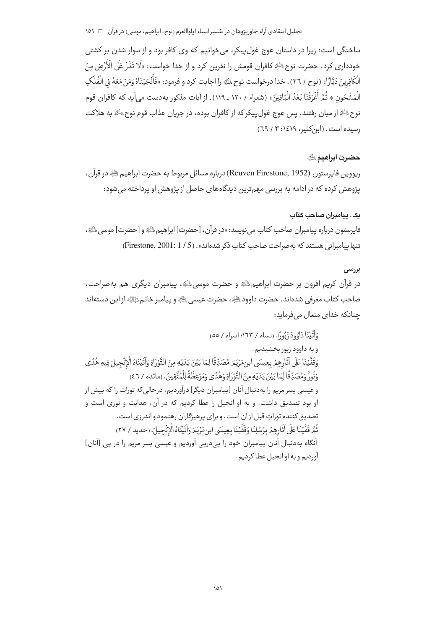ساختگی است؛ زیرا در داستان عوج غول،پیکر، می خوانیم که وی کافر بود و از سوار شدن بر کشتی خودداري كرد. حضرت نوحﷺ كافران قومش را نفرين كرد و از خدا خواست: «لَا تَذَرَّ عَلَى الْأَرْضِ مِنَ الْكَافِرِينَ دَيَّارًا» (نوح / ٢٦) . خدا درخواست نوح ﷺ را اجابت كرد و فرمود: «فَأَنْجَيْنَاهُ وَمَنْ مَعَهُ في الْفُلَكِ الْمَشْحُونِ ۞ ثُمَّ أَغْرَقْنَا بَعْدُ الْبَاقِينَ» (شعراء / ١٢٠ ـ ١١٩). إز آيات مذكور به‹دست مر آيد كه كافران قوم نوح ﷺ از ميان رفتند. پس عوج غول پيكر كه از كافران بوده، در جريان عذاب قوم نوح ﷺ به هلاكت رسیده است. (این کثیر، ۱٤١٩: ۳ / ٦٩)

#### حضرت ابراهيم الله

ريووين فايرستون (Reuven Firestone, 1952) درباره مسائل مربوط به حضرت ابراهيم ﷺ در قرآن ، پژوهش کرده که در ادامه به بررسی مهمترین دیدگاههای حاصل از پژوهش او پرداخته می شود:

## یک. پیامبران صاحب کتاب

فايرستون درباره ييامبران صاحب كتاب مي نويسد: «در قرآن، [حضرت] ابراهيم ﷺ و [حضرت] موسى ﷺ، تنها بیامبرانی هستند که به صراحت صاحب کتاب ذکر شدهاند». (1/ 5) Firestone, 2001: 1/

## بررسى

در قرآن کریم افزون بر حضرت ابراهیمﷺ و حضرت موسیﷺ، پیامبران دیگری هم بهصراحت، صاحب كتاب معرفي شدهاند. حضرت داوودﷺ، حضرت عيسى ﷺ في بيامبر خاتم ﷺ از اين دستهاند حنانکه خدای متعال می فرماید:

وَأَتَيْنَا دَاوُودَ زَبُورًا. (نساء / ١٦٣؛ اسراء / ٥٥) و به داوود زبور بخشیدیم. وَقَفَّيْنَا عَلَى آثَارِهِمْ بِعِيسَى ابنِ مَرْيَمَ مُصَدِّقًا لِمَا بَيْنَ يَدَيْهِ مِنَ التَّوْرَاةِ وَآتَيْنَاهُ الْإِنْجِيلَ فِيهِ هُدًى وَنُورٌ وَمُصَدِّقًا لِمَا بَيْنَ يَدَيْهِ مِنَ التَّوْرَاةِ وَهُدًى وَمَوْعِظَةً لِلْمُتَّقِينَ. (مائده / ٤٦) و عیسی پسر مریم را به دنبال آنان [پیامبران دیگر] درآوردیم، درحالی که تورات را که پیش از او بود تصدیق داشت، و به او انجیل را عطا کردیم که در آن، هدایت و نوری است و تصدیق کننده توراتِ قبل از آن است، و برای پرهیزگاران رهنمود و اندرزی است. ثُمَّ قَفَّيْنَا عَلَى آثَارِهِمْ بِرُسُلِنَا وَقَفَّيْنَا بِعِيسَى ابنِ مَرْيَمَ وَآتَيْنَاهُ الْإِنْجيلَ. (حديد / ٢٧) آنگاه بهدنبال آنان پیامبران خود را پے،دریے آوردیم و عیسی پسر مریم را در پے [آنان] آورديم و به او انجيل عطا كرديم.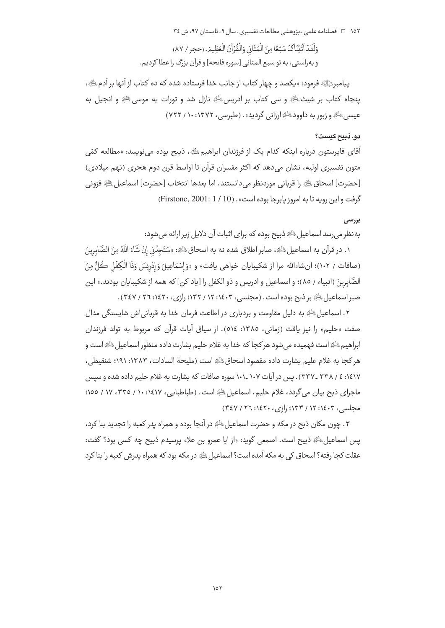۱۵۲ □ فصلنامه علمی ـیژوهشی مطالعات تفسیری، سال ۹، تابستان ۹۷، ش ٣٤

وَلَقَدُ آتَيْنَاكَ سَبْعًا مِنَ الْمَثَانِي وَالْقُرْآنَ الْعَظِيمَ. (حجر / ٨٧) و به راستي، به تو سبع المثاني [سوره فاتحه] و قرآن بزرگ را عطا كرديم.

پیامبرﷺ فرمود: «یکصد و چهار کتاب از جانب خدا فرستاده شده که ده کتاب از آنها بر آدمﷺ، پنجاه کتاب بر شیث ﷺ و سی کتاب بر ادریس ای انزل شد و تورات به موسی ای و انجیل به عیسی ﷺ و زبور به داوود ﷺ ارزانی گردید». (طبرسی، ۱۳۷۲: ۱۰ / ۷۲۲)

## دو. ذبيح كيست؟

آقاي فايرستون درباره اينكه كدام يک از فرزندان ابراهيم ﷺ، ذبيح بوده مي نويسد: «مطالعه كمّي متون تفسیری اولیه، نشان میدهد که اکثر مفسران قرآن تا اواسط قرن دوم هجری (نهم میلادی) [حضرت] اسحاق ﷺ را قرباني موردنظر مي دانستند، اما بعدها انتخاب [حضرت] اسماعيل ﷺ فزوني گرفت و این رویه تا به امروز یابرجا بوده است» . (10 / 1 : Firstone, 2001: 1)

## بررسي

به نظر می رسد اسماعیل ﷺ ذبیح بوده که برای اثبات آن دلایل زیر ارائه می شود:

١. در قرآن به اسماعيل ﷺ، صابر اطلاق شده نه به اسحاق ﷺ: «سَتَجِدُني إِنْ شَاءَ اللَّهُ مِنَ الصَّابِرِينَ (صافات / ١٠٢)؛ ان شاءالله مرا از شكيبايان خواهي يافت» و «وَ إِسْمَاعِيلَ وَ إِدْرِيسَ وَذَا الْكِفْل كُلُّ مِنَ الصَّابرينَ (انبياء / ٨٥)؛ و اسماعيل و ادريس و ذو الكفل را [ياد كن] كه همه از شكيبايان بودند.» اين صبر اسماعیل ﷺ بر ذبح بوده است. (مجلسی، ۱۶۰۳: ۱۲ / ۱۳۲: رازی، ۱۶۲۰: ۲۲ / ۳٤۷).

٢. اسماعیل ﷺ به دلیل مقاومت و بردباری در اطاعت فرمان خدا به قربانی|ش شایستگی مدال صفت «حليم» را نيز يافت (زماني، ١٣٨٥: ٥١٤). از سياق آيات قرآن كه مربوط به تولد فرزندان ابراهيم ﷺ است فهميده مي شود هر كجا كه خدا به غلام حليم بشارت داده منظور اسماعيل ﷺ است و هر كجا به غلام عليم بشارت داده مقصود اسحاقﷺ است (مليحة السادات، ١٣٨٣: ١٩١؛ شنقيطي، ۱٤١٧: ٤ / ٣٣٨ \_٣٣٧) . پس در آيات ١٠٧ \_١٠١ سوره صافات كه بشارت به غلام حليم داده شده و سيس ماجراي ذبح بيان مي گردد، غلام حليم، اسماعيل ﷺ است. (طباطبايي، ١٤١٧: ١٠ / ٣٣٥، ١٧ / ١٥٥؛ محلسی، ۱۶۰۳: ۱۲ / ۱۳۳؛ رازی، ۱٤۲۰: ۲٦؛ ۳٤۷)

٣. چون مكان ذبح در مكه و حضرت اسماعيل ﷺ در آنجا بوده و همراه يدر كعبه را تجديد بنا كرد، يس اسماعيل ﷺ ذبيح است. اصمعي گويد: «از ابا عمرو بن علاء پرسيدم ذبيح چه كسي بود؟ گفت: عقلت کجا رفته؟ اسحاق کی به مکه آمده است؟ اسماعیل ﷺ در مکه بود که همراه پدرش کعبه را بنا کرد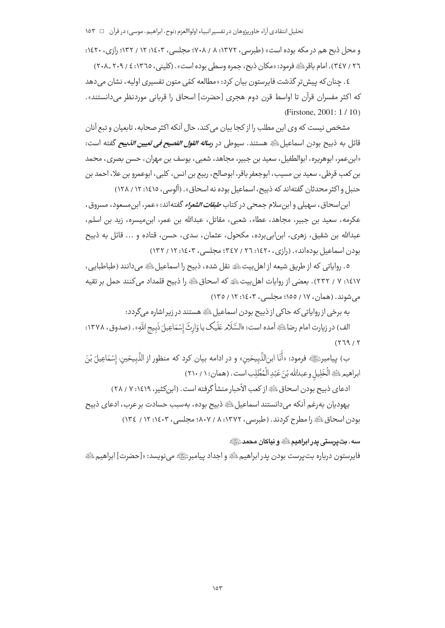و محل ذبح هم در مکه بوده است» (طبرسی، ۱۳۷۲: ۸ / ۷۰۸؛ مجلسی، ۱۶۰۳: ۱۲ / ۱۳۲؛ ۱۶٫۰، ۱۶۲۰: ٣٤٧ / ٣٤٧). امام باقر ﷺ فرمود: «مكان ذبح، جمره وسطى بوده است». (كليني، ٢٠٩-٢٠٨\_٢٠٨ \_٢٠٨)

٤. چنان که پیش تر گذشت فاپرستون بیان کرد: «مطالعه کمّی متون تفسیری اولیه، نشان می دهد كه اكثر مفسران قرآن تا اواسط قرن دوم هجري [حضرت] اسحاق را قرباني موردنظر مي دانستند». (Firstone, 2001: 1/10)

مشخص نیست که وی این مطلب را از کجا بیان میکند، حال آنکه اکثر صحابه، تابعیان و تبع آنان قائل به ذبيح بودن اسماعيل ﷺ هستند. سيوطى در *رساله القول الفصيح في تعيين الذبيح* گفته است: «ابن عمر، ابوهريره، ابوالطفيل، سعيد بن جبير، مجاهد، شعبي، يوسف بن مهران، حسن بصري، محمد بن كعب قرظي، سعيد بن مسيب، ابوجعفر باقر، ابوصالح، ربيع بن انس، كلبي، ابوعمرو بن علا، احمد بن حنبل و اکثر محدثان گفتهاند که ذبیح، اسماعیل بوده نه اسحاق». (آلوسی، ١٤١٥: ١٢ / ١٢٨)

ابن|سحاق، سهیلی و ابن سلام جمحی در کتاب *طبقات الشعراء* گفته|ند: «عمر، ابن مسعود، مسروق، عكرمه، سعيد بن جبير، مجاهد، عطاء، شعبي، مقاتل، عبدالله بن عمر، ابن،ميسره، زيد بن اسلم، عبدالله بن شقيق، زهري، ابن!بي،برده، مكحول، عثمان، سدى، حسن، قتاده و ... قائل به ذبيح بودن اسماعیل بودهاند». (رازی، ۱٤۲۰: ۲٦) / ۳٤٧؛ مجلسی، ۱٤٠٣؛ ۱۲ / ۱۳۲)

٥. رواياتي كه از طريق شيعه از اهل بيت ﷺ نقل شده، ذبيح را اسماعيل ﷺ مي دانند (طباطبايي، ١٤١٧: ٧ / ٢٣٢). بعضي از روايات اهل بيت ﷺ كه اسحاق ﷺ را ذبيح قلمداد مي كنند حمل بر تقيه می شوند. (همان، ۱۷ / ۱۵۵؛ مجلسی، ۱۶۰۳: ۱۲ / ۱۳۵)

به برخی از روایاتی که حاکی از ذبیح بودن اسماعیل ﷺ هستند در زیر اشاره می گردد:

الف) در زيارت امام رضاءلخُ آمده است: «السَّلَام عَلَيك يا وَارِثَ إِسْمَاعِيلَ ذَبِيحِ اللَّهِ» . (صدوق ، ١٣٧٨:  $(179/1)$ 

ب) پيامبرﷺ فرمود: «أَنَا ابنِالنَّبِيحَين» و در ادامه بيان كرد كه منظور از النَّبِيحَين: إِسْمَاعِيلَ بْنَ ابراهيم لِثَانِهِ الْخَلِيلِ وعبدالله بْنَ عَبْدِ الْمُطَّلِبِ است . (همان: ١ / ٢١٠)

ادعاى ذبيح بودن اسحاق ﷺ از كعب الأحبار منشأ گرفته است. (ابن كثير، ١٤١٩: ٧ / ٢٨)

يهوديان بهرغم آنكه مي دانستند اسماعيل ﷺ ذبيح بوده، بهسبب حسادت بر عرب، ادعاى ذبيح بودن اسحاق ﷺ را مطرح كردند. (طبرسي، ١٣٧٢: ٨ / ١٠٧؛ مجلسي، ١٤٠٣: ١٢ / ١٣٤)

## سه. تدرستي بدر ابراهيم اللَّهِ و نباكان محمد ﷺ

فايرستون درباره بت يرست بودن يدر ابراهيم ﷺ و اجداد پيامبرﷺ مي نويسد: «[حضرت] ابراهيم ﷺ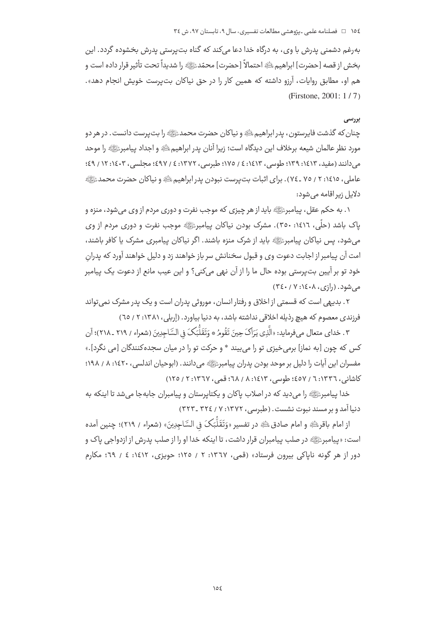بەرغم دشمنی پدرش با وی، به درگاه خدا دعا میکند که گناه بتپرستی پدرش بخشوده گردد. این جخش از قصه [حضرت] ابراهيمﷺ احتمالاً [حضرت] محمّدﷺ را شديداً تحت تأثير قرار داده است و هم او، مطابق روایات، ارزو داشته که همین کار را در حق نیاکان بتپرست خویش انجام دهد». Firstone, 2001: 1 / 7

## **بررسی**

چنان که گذشت فایرستون ، پدر ابراهیم ﷺ و نیاکان حضرت محمدﷺ را بت پرست دانست . در هر دو مورد نظر عالمان شیعه برخلاف این دیدگاه است؛ زیرا انان پدر ابراهیم ﷺ و اجداد پیامبرﷺ را موحد میدانند (مفید، ۱۶۱۳؛ ۴۹:۱۶۹: ۱۶/۵/۱۶ (۱۷۵؛ طبرسی، ۱۳۷۲: ٤ / ٤٩٧؛ مجلسی، ۱۶۰۳: ۱۲ / ٤٩؛ عاملی، ۱۷۶:۰۲ / ۷۵ ـ ۷۶). برای اثبات بتپرست نبودن پدر ابراهیم اِشَّهِ و نیاکان حضرت محمدﷺ -دلایل زیراقامه میشود:

۰. به حکم عقل، پیامبرﷺ باید از هر چیز*ی* که موجب نفرت و دوری مردم از وی میشود، منزه و .<br>پاک باشد (حلّی، ۱۶۱۲: ۳۰۰). مشرک بودن نیاکان پیامبرﷺ موجب نفرت و دوری مردم از وی میشود، پس نیاکان پیامبرﷺ باید از شرک منزه باشند. اگر نیاکان پیامبری مشرک یا کافر باشند، امت ان پیامبر از اجابت دعوت وی و قبول سخنانش سر باز خواهند زد و دلیل خواهند اورد که پدرانِ خود تو بر ایین بتپرستی بوده حال ما را از ان نهی میکنی؟ و این عیب مانع از دعوت یک پیامبر میشود. (رازی، ۱٤۰۸: ۳٤٠/ ۳٤٠)

۲ . بدیهی است که قسمتی از اخلاق و رفتار انسان ، موروثی پدران است و یک پدر مشرک نمیتواند فرزندی معصوم که هیچ رذیله اخلاقی نداشته باشد، به دنیا بیاورد. (إربلی، ۱۳۸۱: ۲ / ٦٥)

.<br>۳. خدای متعال میفرماید: «الَّذِی یَرَاکَ حِینَ تَقُومُ \* وَتَقَلُّبَکَ فِي السَّاجِدِینَ (شعراء / ۲۱۹ ـ ۲۱۸)؛ آن  $\ddot{\phantom{0}}$  $\overline{\phantom{a}}$ i أ  $\overline{\phantom{a}}$  $\overline{\phantom{a}}$ -کس که چون [به نماز] برمیخیزی تو را میبیند \* و حرکت تو را در میان سجدهکنندگان [می نگرد].» مفسران این ایات را دلیل بر موحد بودن پدران پیامبرﷺ میدانند. (ابوحیان اندلسی، ۱٤۲۰: ۸ / ۱۹۸؛ كاشانى، ١٣٣٦: ٦ / ٤٥٧؛ طوسى، ١٤١٣: ٨ / ٦٨؛ قمى، ١٣٦٧: ٢ / ١٢٥)

خدا پیامبرﷺ را میدید که در اصلاب پاکان و یکتاپرستان و پیامبران جابهجا میشد تا اینکه به دنیا امد و بر مسند نبوت نشست. (طبرسی، ۱۳۷۲: ۷ / ۳۲٤ ـ ۳۲۳) -

ر امام باقر ظُهِ و امام صادق ظُهِ در تفسير «وَتَقَلُّبَکَ فِي السَّاجِدِينَ» (شعراء / ٢١٩)؛ چنين آمده i ;  $\ddot{\phantom{0}}$  $\overline{\phantom{a}}$ 'ست: «پیامبرﷺ در صلب پیامبران قرار داشت، تا اینکه خدا او را از صلب پدرش از ازدواجی پاک و دور از هر گونه ناپاکی بیرون فرستاد» (قمی، ۱۳٦۷: ۲ / ۱۲٥؛ حویزی، ۱۶۱۲: ٤ / ٦٩؛ مکارم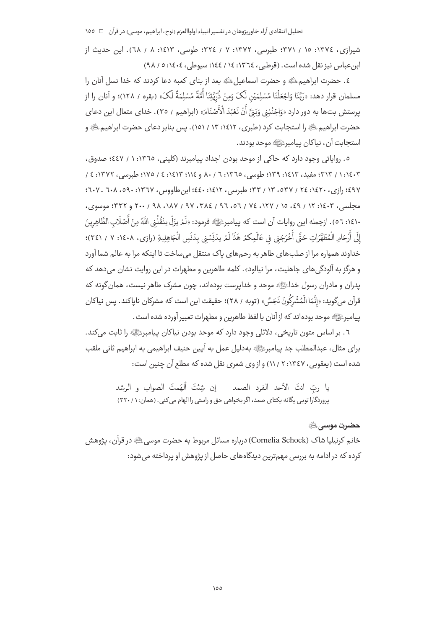شیرازی، ١٣٧٤: ١٥ / ٣٧١؛ طبرسی، ١٣٧٢: ٧ / ٣٢٤؛ طوسی، ١٤١٣: ٨ / ٦٨). این حدیث از ابن عباس نيز نقل شده است. (قرطبي، ١٣٦٤: ١٤ / ١٤٤؛ سيوطي، ١٤٠٤: ٥ / ٩٨)

٤. حضرت ابراهيم ﷺ و حضرت اسماعيل ﷺ بعد از بناي كعبه دعا كردند كه خدا نسل آنان را مسلمان قرار دهد: «رَبَّنَا وَاجْعَلْنَا مُسْلِمَيْنِ لَکَ وَمِنْ ذُرِّيَّتِنَا أُمَّةً مُسْلِمَةً لَکَ» (بقره / ۱۲۸)؛ و آنان را از پرستش بتها به دور دارد «وَاجْنُبْنِي وَبَنَّ أَنْ نَعْبُدَ الْأَصْنَامَ» (ابراهيم / ٣٥). خداي متعال اين دعاي حضرت ابراهیم ﷺ را استجابت کرد (طبری، ۱۶۱۲، ۱۳ / ۱۵۱). پس بنابر دعای حضرت ابراهیم ﷺ و استجابت آن، نياكان پيامبرﷺ موحد بودند.

٥. رواياتي وجود دارد كه حاكي از موحد بودن اجداد پيامبرند (كليني، ١٣٦٥: ١ / ٤٤٧؛ صدوق، ۴۰): ۱ / ۳۱۳؛ مفید، ۱۶۱۳؛ ۱۳۹؛ طوسی، ۱۳٦٥: ٦ / ۸۰ و ١٤١٤: ۲ / ۱۷٥؛ طبرسی، ۱۳۷۲: ٤ / ٤٩٧؛ رازي، ١٤٢٠؛ ٢٤: ٣٢ / ٥٣٧، ١٣، ٣٣؛ طبرسي، ١٤١٢: ٤٤٠؛ ابن طاووس، ١٣٦٧: ٥٩٠، ٦٠٨ \_ ٦٠٧؛ مجلسی، ۲۰۰۳: ۱۲ / ٤٩، ١٥ / ١٢٧، ٧٤ / ٥٦، ٩٦ / ٣٨٤، ٩٧ / ١٨٧، ٩٨، ٢٠٠ و ٣٣٢: موسوى، ١٤١٠: ٥٦). ازجمله اين روايات آن است كه پيامبرﷺ فرمود: «لَمْ يزَلْ ينْقُلُنِي اللَّهُ مِنْ أَصْلَابِ الظّاهِرِينَ إِلَى أَرْحَامِ الْمُطَهَّرَاتِ حَتَّى أَخْرَجَنِي فِي عَالَمِكْمْ هَذَا لَمْ يدَنِّسْنِي بِدَنَسِ الْجَاهِلِيةِ (رازي، ١٤٠٨: ٧ / ٣٤١)؛ خداوند همواره مرا از صلبهای طاهر به رحمهای پاک منتقل میساخت تا اینکه مرا به عالم شما آورد و هرگز به آلود*گی ه*ای جاهلیت، مرا نیالود». کلمه طاهرین و مطهرات در این روایت نشان می دهد که يدران و مادران رسول خداﷺ موحد و خدايرست بودهاند، چون مشرک طاهر نيست، همان گونه که قرآن ميگويد: «إنَّمَا الْمُشْرِكُونَ نَجَسٌّ » (توبه / ٢٨)؛ حقيقت اين است كه مشركان ناياكند. يس نياكان ييامبرﷺ موحد بودهاند كه ازآنان با لفظ طاهرين و مطهرات تعبير آورده شده است.

٦ . بر اساس متون تاریخی، دلائلی وجود دارد که موحد بودن نیاکان پیامبرﷺ را ثابت می کند. براي مثال، عبدالمطلب جد پيامبرﷺ بهدليل عمل به آيين حنيف ابراهيمي به ابراهيم ثاني ملقب شده است (یعقوبی، ۱۳٤۷: ۲ / ۱۱) و از وی شعری نقل شده که مطلع آن چنین است:

> يا ربِّ انتَ الأحد الفرد الصمد لين شِئتَ ألهَمتَ الصواب و الرشد پروردگارا تویی یگانه یکتای صمد، اگر بخواهی حق و راستی را الهام می کنی. (همان: ۱ / ۳۲۰)

# حضرت موسے ﷺ

خانم کرنیلیا شاک (Cornelia Schock) درباره مسائل مربوط به حضرت موسی ﷺ در قرآن، پژوهش کرده که در ادامه به بررسی مهمترین دیدگاههای حاصل از پژوهش او پرداخته می شود: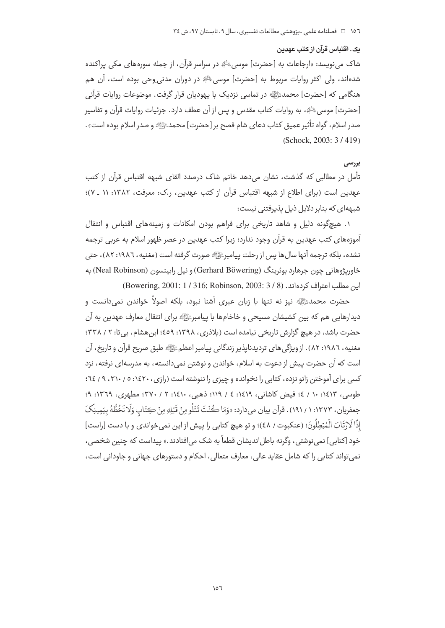#### يک. اقتباس قرآن از کتب عهدين

شاک مینویسد: «ارجاعات به [حضرت] موسی ﷺ در سراسر قرآن، از جمله سورههای مکی براکنده شدهاند، ولي اكثر روايات مربوط به [حضرت] موسى ﷺ در دوران مدنى وحى بوده است، آن هم هنگامی که [حضرت] محمدﷺ در تماسی نزدیک با پهودیان قرار گرفت. موضوعات روایات قرآنی [حضرت] موسى ﷺ، به روايات كتاب مقدس و پس از آن عطف دارد. جزئيات روايات قرآن و تفاسير صدر اسلام، گواه تأثیر عمیق کتاب دعای شام فصح بر [حضرت] محمدﷺ و صدر اسلام بوده است». (Schock, 2003: 3/419)

## بررسي

تأمل در مطالبی که گذشت، نشان میدهد خانم شاک درصدد القای شبهه اقتباس قرآن از کتب عهدین است (برای اطلاع از شبهه اقتباس قرآن از کتب عهدین، ر.ک: معرفت، ۱۳۸۲: ۱۱ ـ ۷)؛ شبههای که بنابر دلایل ذیل یذیرفتنی نیست:

١. هيچگونه دليل و شاهد تاريخي براي فراهم بودن امكانات و زمينههاي اقتباس و انتقال آموزههای کتب عهدین به قرآن وجود ندارد؛ زیرا کتب عهدین در عصر ظهور اسلام به عربی ترجمه نشده، بلكه ترجمه آنها سال ها يس از رحلت پيامبرﷺ صورت گرفته است (مغنيه، ١٩٨٦: ٨٢)، حتى خاوریژوهانی چون جرهارد بوئرینگ (Gerhard Böwering) و نیل رابینسون (Neal Robinson) به ابن مطلب اعتراف كردهاند. (8 / 3 : 2003: 1 / 316; Robinson, 2003: 3 / 8)

حضرت محمدﷺ نیز نه تنها با زبان عبری آشنا نبود، بلکه اصولاً خواندن نمیدانست و دیدارهایی هم که بین کشیشان مسیحی و خاخامها با پیامبرﷺ برای انتقال معارف عهدین به آن حضرت باشد، در هیچ گزارش تاریخی نیامده است (بلاذری، ۱۳۹۸: ٤٥٩؛ ابن هشام، بی تا: ۲ / ۳۳۸؛ مغنيه، ١٩٨٦: ٨٢). از ويژگي هاي ترديدناپذير زندگاني پيامبر اعظم ﷺ طبق صريح قرآن و تاريخ، آن است که آن حضرت پیش از دعوت به اسلام، خواندن و نوشتن نمی دانسته، به مدرسهای نرفته، نزد کسی برای آموختن زانو نزده، کتابی را نخوانده و چیزی را ننوشته است (رازی، ۱٤۲۰، ۵ / ۳۱۰، ۹ / ٦٤؛ طوسی، ۱۶۱۳: ۱۰ / ٤؛ فیض کاشانی، ۱۶۱۹: ٤ / ۱۱۹؛ ذهبی، ۱۶۱۰: ۲ / ۳۷۰؛ مطهری، ۱۳۲۹: ۹؛ جعفريان، ١٣٧٣: ١ / ١٩١). قرآن بيان مي دارد: «وَمَا ڪُنْتَ تَتْلُو مِنْ قَبْلِهِ مِنْ كِتَابٍ وَلَا تَخُطُّهُ بِيَمِينِكَ إذًا لَارْتَابَ الْمُبْطِلُونَ؛ (عنكبوت / ٤٨)؛ و تو هيچ كتابي را پيش از اين نمي خواندي و با دست [راست] خود [کتابی] نمی نوشتی ، وگرنه باطل|ندیشان قطعاً به شک می|فتادند.» پیداست که چنین شخصی ، نمي تواند كتابي را كه شامل عقايد عالى، معارف متعالى، احكام و دستورهاي جهاني و جاوداني است،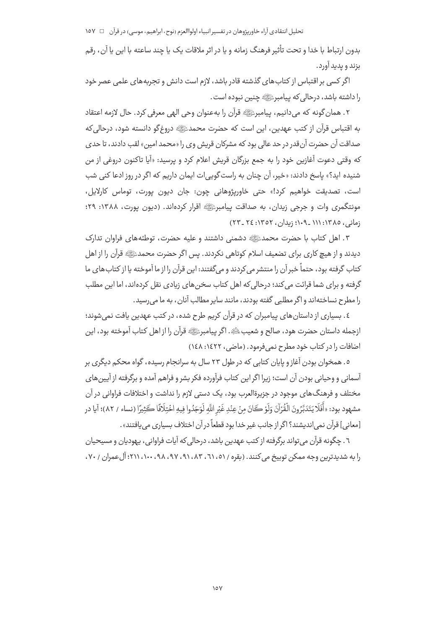بدون ارتباط با خدا و تحت تأثير فرهنگ زمانه و يا در اثر ملاقات يک يا چند ساعته با اين يا آن، رقم بزند و يديد آورد.

اگر کسی بر اقتباس از کتاب های گذشته قادر باشد، لازم است دانش و تحربههای علمی عصر خود را داشته باشد، درحالي كه پيامبرﷺ چنين نبوده است .

٢. همان گونه كه مي دانيم، پيامبرﷺ قرآن را به عنوان وحي الهي معرفي كرد. حال لازمه اعتقاد به اقتباس قرآن از کتب عهدین، این است که حضرت محمدﷺ دروغگو دانسته شود، درحالی که صداقت آن حضرت آن قدر در حد عالی بود که مشرکان قریش وی را «محمد امین» لقب دادند، تا حدی که وقتی دعوت آغازین خود را به جمع بزرگان قریش اعلام کرد و پرسید: «آیا تاکنون دروغی از من شنیده اید؟» باسخ دادند: «خبر، آن جنان به راست گوبی ات ایمان داریم که اگر در روز ادعا کنی شب است، تصديقت خواهيم كرد!» حتى خاوريژوهاني چون: جان ديون يورت، توماس كارلايل، مونتگمری وات و جرجی زیدان، به صداقت پیامبرﷺ اقرار کردهاند. (دیون یورت، ۱۳۸۸: ۲۹؛ زمانی، ١٣٨٥: ١١١ -١٠٩؛ زيدان، ١٣٥٢: ٢٤ -٢٣)

٣. اهل كتاب با حضرت محمدﷺ دشمني داشتند و عليه حضرت، توطئههاي فراوان تدارك دیدند و از هیچ کاری برای تضعیف اسلام کوتاهی نکردند. پس اگر حضرت محمدﷺ قرآن را از اهل کتاب گرفته بود، حتماً خبر آن را منتشر می کردند و می گفتند: این قرآن را از ما آموخته یا از کتاب های ما گرفته و برای شما قرائت می کند؛ درحالی که اهل کتاب سخن های زیادی نقل کردهاند، اما این مطلب را مطرح نساختهاند و اگر مطلبی گفته بودند، مانند سایر مطالب آنان، به ما می رسید.

٤. بسیاری از داستان های پیامبران که در قرآن کریم طرح شده، در کتب عهدین بافت نمی شوند؛ ازجمله داستان حضرت هود، صالح و شعيبﷺ. اگر پيامبرﷺ قرآن را از اهل كتاب آموخته بود، اين اضافات را در کتاب خود مطرح نمی فرمود. (ماضی، ۱٤٢٢: ١٤٨)

٥. همخوان بودن آغاز و پایان کتابی که در طول ٢٣ سال به سرانجام رسیده، گواه محکم دیگری بر آسمانی و وحیانی بودن آن است؛ زیرا اگر این کتاب فرآورده فکر بشر و فراهم آمده و برگرفته از آیین های مختلف و فرهنگ های موجود در جزیرةالعرب بود، یک دستی لازم را نداشت و اختلافات فراوانی در آن مشهود بود: «أَفَلَا يَتَدَبَّرُونَ الْقُرْآنَ وَلَوْ كَانَ مِنْ عِنْدِ غَيْرِ اللَّهِ لَوَجَدُوا فِيهِ اخْتِلَافًا كَثِيرًا (نساء / ٨٢)؛ آيا در [معاني] قرآن نمي|نديشند؟ اگر از جانب غير خدا بود قطعاً در آن اختلاف بسياري مي يافتند».

٦ . چگونه قرآن می تواند برگرفته از کتب عهدین باشد، درحالی که آیات فراوانی، پهودیان و مسیحیان را به شدیدترین وجه ممکن توپیخ می کنند. (بقره / ٥١، ٦١، ٩١، ٩١، ٩٧، ٩٨، ١٠٠، ٢١١؛ آل عمران / ٧٠،

 $\circ \vee$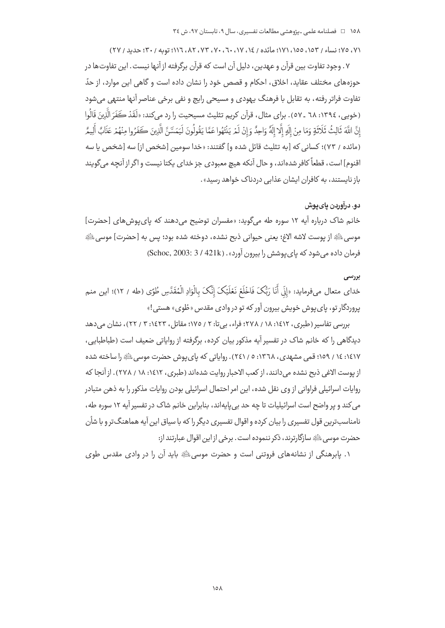## ٧١، ٧٥؛ نساء / ١٥٣، ١٥٥، ١٧١؛ مائده / ١٤، ١٧، ٦٠، ٧٠، ٧٣، ٨٢، ١١٦: توبه / ٣٠؛ حديد / ٢٧)

٧ . وجود تفاوت بين قرآن و عهدين، دليل آن است كه قرآن برگرفته از آنها نيست . اين تفاوت ها در حوزههای مختلف عقاید، اخلاق، احکام و قصص خود را نشان داده است و گاهی این موارد، از حدّ تفاوت فراتر رفته، به تقابل با فرهنگ یهودی و مسیحی رایج و نفی برخی عناصر آنها منتهی می شود (خوپي، ١٣٩٤: ٦٨ ـ ٥٧). براي مثال، قرآن كريم تثليث مسيحيت را رد مي كند: «لَقَدْ كَفَرَ الَّذِينَ قَالُوا إِنَّ اللَّهَ ثَالِثُ ثَلَاثَةٍ وَمَا مِنْ إِلَهٍ إِلَّا إِلَهٌ وَاحِدٌ وَإِنْ لَمْ يَنْتَهُوا عَمَّا يَقُولُونَ لَيَمَسَّنَّ الَّذِينَ كَفَرُوا مِنْهُمْ عَذَابٌ أَلِيمٌ (مائده / ٧٣)؛ كساني كه [به تثليث قائل شده و] گفتند: «خدا سومين [شخص از] سه [شخص يا سه اقنوم] است، قطعاً کافر شدهاند، و حال آنکه هیچ معبودی جز خدای یکتا نیست و اگر از آنچه می گویند باز نایستند، به کافران ایشان عذابی دردناک خواهد رسید».

## دو. درآوردن پای پوش

خانم شاک درباره آیه ۱۲ سوره طه میگوید: «مفسران توضیح میدهند که پای پوش های [حضرت] موسى لِلَّهِ از يوست لاشه الاغ؛ يعني حيواني ذبح نشده، دوخته شده بود؛ يس به [حضرت] موسى اللَّهِ فرمان داده می شود که بای پوشش را بیرون آورد». (Schoc, 2003: 3 / 421k)

#### بررسى

خداي متعال ميفرمايد: «إِنِّي أَنَا رَبُّكَ فَاخْلَعْ نَعْلَيْكَ إِنَّكَ بِالْوَادِ الْمُقَدَّسِ طُوًى (طه / ١٢)؛ اين منم پروردگار تو، پای پوش خویش بیرون آور که تو در وادی مقدس «طُوی» هستی!»

بررسی تفاسیر (طبری، ۱۶۱۲، ۱۸ / ۲۷۸؛ فراء، بے تا: ۲ / ۱۷۵؛ مقاتل، ۱۶۲۳، ۳ / ۲۲)، نشان می دهد دیدگاهی را که خانم شاک در تفسیر آیه مذکور بیان کرده، برگرفته از روایاتی ضعیف است (طباطبایی، ۱٤١٧: ١٤ / ١٥٩؛ قمی مشهدی، ١٣٦٨: ٥ / ٢٤١). روایاتی که پای پوش حضرت موسی ﷺ را ساخته شده از یوست الاغی ذبح نشده میدانند، از کعب الاحبار روایت شدهاند (طبری، ۱۶۱۲: ۱۸ / ۲۷۸). از آنجا که روایات اسرائیلی فراوانی از وی نقل شده، این امر احتمال اسرائیلی بودن روایات مذکور را به ذهن متبادر می کند و پر واضح است اسرائیلیات تا چه حد بی بایهاند، بنابراین خانم شاک در تفسیر آیه ۱۲ سوره طه، نامناسب ترین قول تفسیری را بیان کرده و اقوال تفسیری دیگر را که با سیاق این آیه هماهنگ تر و با شأن حضرت موسى ﷺ سازگارترند، ذكر ننموده است . برخي از اين اقوال عبارتند از:

١. پابرهنگی از نشانههای فروتنی است و حضرت موسی ﷺ باید آن را در وادی مقدس طوی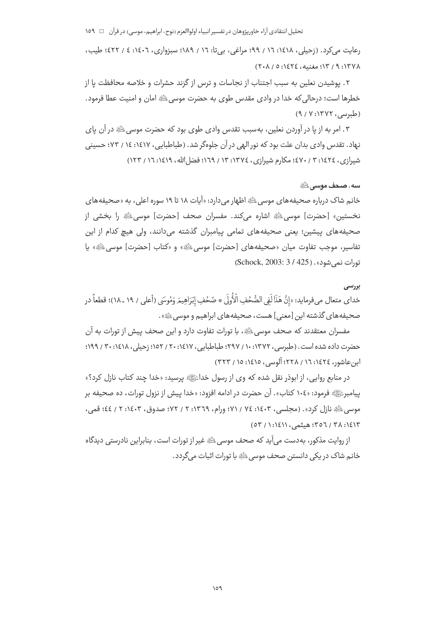رعايت مي كرد. (زحيلي، ١٤١٨: ١٦ / ٩٩؛ مراغي، بي تا: ١٦ / ١٨٩؛ سبزواري، ١٤٠٦: ٤ / ٤٢٢؛ طيب، ١٣٧٨: ٩ / ١٣: مغنيه، ١٤٢٤: ٥ / ٢٠٨)

٢. يوشيدن نعلين به سبب اجتناب از نجاسات و ترس از گزند حشرات و خلاصه محافظت يا از خطرها است؛ درحالي كه خدا در وادي مقدس طوى به حضرت موسى ﷺ امان و امنيت عطا فرمود. (طبرسی، ۱۳۷۲: ۹/ ۹)

٣. امر به از یا در آوردن نعلین، بهسبب تقدس وادی طوی بود که حضرت موسی ﷺ در آن پای نهاد. تقدس وادی بدان علت بود که نور الهی در آن جلوهگر شد. (طباطبایی، ۱٤١٧: ١٤ / ٧٣؛ حسینی شیرازی، ١٤٢٤: ٣ / ٤٧٠؛ مكارم شیرازی، ١٣٧٤: ١٣ / ١٦٩؛ فضل الله، ١٤١٩: ١٦ / ١٢٣)

## سه. صحف موسى ﷺ

خانم شاک درباره صحیفههای موسیﷺ اظهار میدارد: «آیات ۱۸ تا ۱۹ سوره اعلی، به «صحیفههای نخستین» [حضرت] موسیﷺ اشاره میکند. مفسران صحف [حضرت] موسیﷺ را بخشی از صحیفههای پیشین؛ یعنی صحیفههای تمامی پیامبران گذشته میدانند، ولی هیچ کدام از این تفاسير، موجب تفاوت ميان «صحيفههاي [حضرت] موسى ﷺ» و «كتاب [حضرت] موسى ﷺ» يا تورات نمی شود». (Schock, 2003: 3 / 425)

#### بررسى

خداي متعال ميفومايد: «إنَّ هَذَا لَفِي الصُّحُفِ الْأُولَى \* صُحُفِ إبْرَاهِيمَ وَمُوسَى (أعلى / ١٩ ـ ١٨)؛ قطعاً در صحيفه هاي گذشته اين [معنى] هست، صحيفه هاي ابراهيم و موسى ﷺ».

مفسران معتقدند که صحف موسی ﷺ، با تورات تفاوت دارد و این صحف پیش از تورات به آن حضرت داده شده است. (طبرسی، ۱۳۷۲: ۱۰/ ۲۹۷؛ طباطبایی، ۱۷۶۷: ۲۰ / ۱۵۲؛ زحیلی، ۱۶۱۸: ۳۰ / ۱۹۹؛ ان عاشور، ١٤٢٤: ١٦ / ٢٢٨؛ آلوسي، ١٤١٥: ١٥ / ٣٢٣)

در منابع روایی، از ابوذر نقل شده که وی از رسول خداءًﷺ پرسید: «خدا چند کتاب نازل کرد؟» بيامبرﷺ فرمود: «١٠٤ كتاب». آن حضرت در ادامه افزود: «خدا بيش از نزول تورات، ده صحيفه بر موسى ﷺ نازل كرد» . (مجلسى، ١٤٠٣: ٧٤ / ٧١؛ ورام، ١٣٦٩: ٢ / ٧٢؛ صدوق، ١٤٠٣: ٢ / ٤٤؛ قمي، ٣٥٦ / ٣٥٦ / ٣٥٦؛ هيثمي، ١٤١١؛ ١ / ٥٣)

از روايت مذكور، به دست مي آيد كه صحف موسى ﷺ غير از تورات است، بنابراين نادرستي ديدگاه خانم شاک در یکی دانستن صحف موسی ﷺ با تورات اثبات می گردد.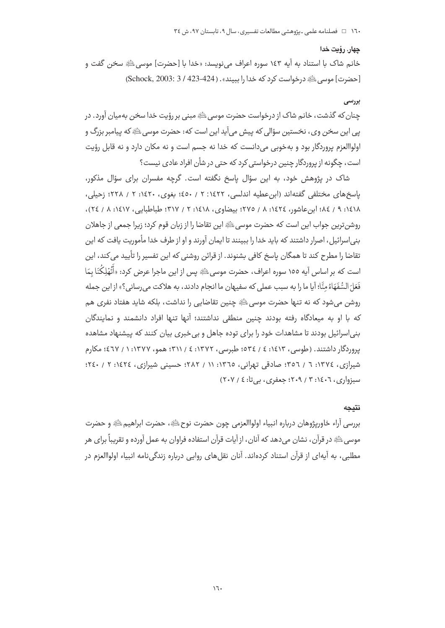#### چهار. رؤیت خدا

خانم شاک با استناد به آيه ١٤٣ سوره اعراف مي نويسد: «خدا با [حضرت] موسى ﷺ سخن گفت و [حضرت] موسى الله درخواست كرد كه خدا را بيبند» . (424-423 / 3 :2003) (Schock, 2003)

# بررسى

چنان که گذشت، خانم شاک از درخواست حضرت موسی ﷺ مبنی بر رؤیت خدا سخن به میان آورد. در یے این سخن وی، نخستین سؤالی که پیش می آید این است که: حضرت موسی ﷺ که پیامبر بزرگ و اولواالعزم پروردگار بود و بهخوبی میدانست که خدا نه جسم است و نه مکان دارد و نه قابل رؤیت است، چگونه از پروردگار چنین درخواستی کرد که حتی در شأن افراد عادی نیست؟

شاک در پژوهش خود، به این سؤال پاسخ نگفته است. گرچه مفسران برای سؤال مذکور، باسخ های مختلفی گفته اند (این عطیه اندلسی، ۱۶۲۲: ۲ / ٤٥٠؛ یغوی، ۱۶۲۰: ۲ / ۲۲۸؛ زحیلی، ١٤١٨: ٩ / ١٤٨؛ ابن عاشور، ١٤٢٤: ٨ / ٢٧٥؛ يبضاوي، ١٤١٨: ٢ / ٣١٧؛ طباطياتي، ١٤١٧: ٨ / ٢٤)، روشن ترین جواب این است که حضرت موسی ﷺ این تقاضا را از زبان قوم کرد؛ زیرا جمعی از جاهلان بنی|سرائیل، اصرار داشتند که باید خدا را ببینند تا ایمان آورند و او از طرف خدا مأموریت یافت که این تقاضا را مطرح کند تا همگان یاسخ کافی بشنوند. از قرائن روشنی که این تفسیر را تأیید می کند، این است که بر اساس آیه ١٥٥ سوره اعراف، حضرت موسیﷺ پس از این ماجرا عرض کرد: «أَتْهْلِكُنَا بِمَا فَعَلَ السُّفَهَاءُ مِنَّا؛ آيا ما را به سبب عملي كه سفيهان ما انجام دادند، به هلاكت مي رساني؟» از اين جمله روشن می شود که نه تنها حضرت موسی ﷺ چنین تقاضایی را نداشت، بلکه شاید هفتاد نفری هم که با او به میعادگاه رفته بودند چنین منطقی نداشتند؛ آنها تنها افراد دانشمند و نمایندگان بنی اسرائیل بودند تا مشاهدات خود را برای توده جاهل و بی خبری بیان کنند که بیشنهاد مشاهده بروردگار داشتند. (طوسی، ۱٤١٣: ٤ / ٥٣٤: طبرسی، ١٣٧٢: ٤ / ٣١١؛ همو، ١٣٧٧: ١ / ٤٦٧؛ مكارم شیرازی، ١٣٧٤: ٦ / ٣٥٦؛ صادقی تهرانی، ١٣٦٥: ١١ / ٢٨٢؛ حسینی شیرازی، ١٤٢٤: ٢ / ٢٤٠؛  $(Y \cdot Y / 2 : 1 : 1 \times 1 : 1 \times 1 : 1 \times 1 : 2 \times 1 : 3$ 

## نتىحە

بررسي آراء خاوريژوهان درباره انبياء اولواالعزمي چون حضرت نوح ﷺ، حضرت ابراهيم ﷺ و حضرت موسی ﷺ در قرآن، نشان می دهد که آنان، از آیات قرآن استفاده فراوان به عمل آورده و تقریباً برای هر مطلبی، به آیهای از قرآن استناد کردهاند. آنان نقلهای روایی درباره زندگی،نامه انبیاء اولواالعزم در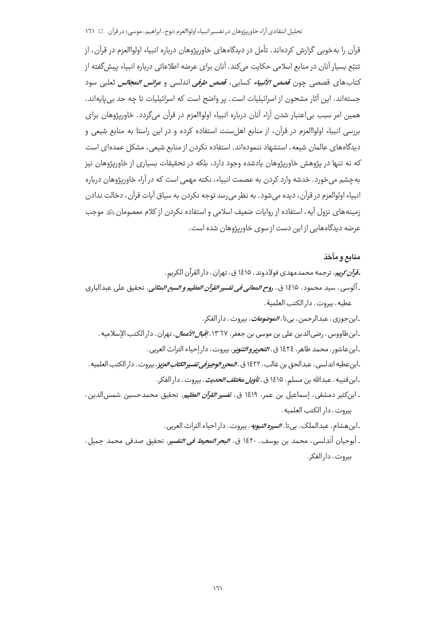#### تحليل انتقادي آراء خاوريژوهان در تفسير انبياء اولواالعزم (نوح، ابراهيم، موسى) در قرآن □ ١٦١

قرآن را بهخوبی گزارش کردهاند. تأمل در دیدگاههای خاوریژوهان درباره انبیاء اولواالعزم در قرآن، از تتبّع بسیار آنان در منابع اسلامی حکایت می کند. آنان برای عرضه اطلاعاتی درباره انبیاء پیش گفته از كتاب هاي قصصي چون *قصص الأنبياء* كسايي، *قصص طرفي* اندلسي و *عرائس المجالس* ثعلبي سود جستهاند. این آثار مشحون از اسرائیلیات است. پر واضح است که اسرائیلیات تا چه حد بی پایهاند. همین امر سبب بی|عتبار شدن آراء آنان درباره انبیاء اولواالعزم در قرآن میگردد. خاوریژوهان برای بررسی انبیاء اولواالعزم در قرآن، از منابع اهل سنت استفاده کرده و در این راستا به منابع شیعی و دیدگاههای عالمان شیعه، استشهاد ننمودهاند. استفاده نکردن از منابع شیعی، مشکل عمدهای است که نه تنها در پژوهش خاورپژوهان پادشده وجود دارد، بلکه در تحقیقات بسیاری از خاورپژوهان نیز به چشم می خورد. خدشه وارد کردن به عصمت انبیاء، نکته مهمی است که در آراء خاورپژوهان درباره انبياء اولوالعزم در قرآن، ديده مي شود. به نظر مي رسد توجه نكردن به سياق آيات قرآن، دخالت ندادن زمینههای نزول آیه، استفاده از روایات ضعیف اسلامی و استفاده نکردن از کلام معصومان ﷺ موجب عرضه دیدگاههایی از این دست از سوی خاوریژوهان شده است.

#### منابع و مآخذ

ـ*قرآن کریم*، ترجمه محمدمهدی فولادوند ، ۱٤۱۵ ق ، تهران ، دار القرآن الکریم . ـ آلوسي ، سيد محمود ، ١٤١٥ ق ، ر*وح المعاني في تفسير القرآن العظيم و السبع المثاني*، تحقيق على عبدالباري عطيه، بيروت، دار الكتب العلمية. ـابن جوزی ، عبدالرحمن ، بی تا ، *الموضوعات ،* بیروت ، دار الفکر . ـ ابن طاووس ، رضي الدين على بن موسى بن جعفر، ١٣٦٧، *إقبال الأعمال*، تهران ، دار الكتب الإسلاميه . ـ ابن عاشور، محمد طاهر، ١٤٢٤ ق، *التحرير و التنوي*ر، بيروت، دار إحياء التراث العربي.

ـابن عطيه اندلسي ، عبدالحق بن غالب ، ١٤٢٢ ق ، *المحرر الوجيز في تفسير الكتاب العزيز* ، بيروت ، دار الكتب العلميه . ـابن قتيبه ، عبدالله بن مسلم ، ١٤١٥ ق ، *تأويل م<del>خ</del>تلف الحديث* ، بيروت ، دار الفكر .

ـ ابنكثير دمشقي، إسماعيل بن عمر، ١٤١٩ ق، *تفسير القرآن العظيم*، تحقيق محمدحسين شمسالدين، بيروت، دار الكتب العلميه.

ـابن هشام، عبدالملک، بي تا، *السيره النبويه*، بيروت، دار احياء التراث العربي.

ـ أبوحيان أندلسي، محمد بن يوسف، ١٤٢٠ ق، *البحر المحيط في التفسير*، تحقيق صدقي محمد جميل، بيروت، دار الفكر.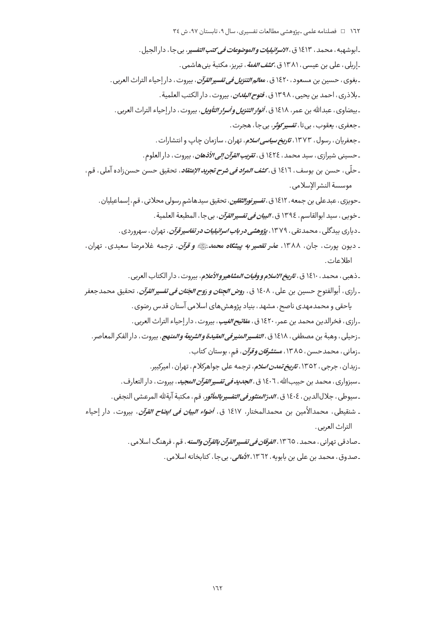ـابوشهبه ، محمد ، ١٤١٣ ق ، *٧لاسرائيليات و الموضوعات في كتب التفسي*ر ، بي جا ، دار الجيل . ـ إربلي ، على بن عيسى ، ١٣٨١ ق ، *ك<mark>شف الغمة</mark>* ، تبريز ، مكتبة بنىهاشمى . ـ بغوي ، حسين بن مسعود ، ١٤٢٠ ق ، م*عالم التنزيل في تفسير القرآن* ، بيروت ، دار إحياء التراث العربي . ـ بلاذري ، احمد بن يحيى ، ١٣٩٨ ق ، *فتوح البلدان* ، بيروت ، دار الكتب العلمية . ـ بيضاوي ، عبدالله بن عمر ، ١٤١٨ ق ، *أنوار التنزيل و أسرار التأويل* ، بيروت ، دار إحياء التراث العربي . ـجعفري، يعقوب، بي¤ا، *تفسير کوثر*، بي جا، هجرت . ـ جعفریان ، رسول ، ۱۳۷۳، ت*اریخ سیاسی اسلام*، تهران ، سازمان چاپ و انتشارات . ـ حسيني شيرازي ، سيد محمد ، ١٤٢٤ ق ، *تقريب القرآن إلى الأذهان* ، بيروت ، دار العلوم . ـ حلّى، حسن بن يوسف، ١٤١٦ ق، *كشف المراد في شرح تجريد الإعتقاد*، تحقيق حسن حسن;اده آملي، قم، موسسة النشر الأسلامي. ۔حویزی ، عبدعلی بن جمعه ، ۱۶۱۲ ق ، *تفسیرنورالثقلین* ، تحقیق سیدهاشم رسولی محلاتی ، قم ، إسماعیلیان . ـ خويي ، سيد ابوالقاسم ، ١٣٩٤ ق ، *البيان في تفسير القرآن* ، بي جا ، المطبعة العلمية . ـ دیاری بیدگلی ، محمدتقی ، ۱۳۷۹، *پژوهش<u>ی</u> در باب اسرائیلیات در تفاسیر قرآن ،* تهران ، سهروردی . ـ ديون يورت، جان، ١٣٨٨، *عذر تقصير به پيشگاه محمد ﷺ و قرآن*، ترجمه غلامرضا سعيدي، تهران، اطلاعات ـ ذهبي ، محمد ، ١٤١٠ ق ، ت*اريخ الاسلام و وفيات المشاهير و الأعلام* ، بيروت ، دار الكتاب العربي . ـ رازي ، أبوالفتوح حسين بن علي ، ١٤٠٨ ق ، *روض الجنان و رَوح الجَنان في تفسير القرآن* ، تحقيق محمدجعفر یاحقی و محمدمهدی ناصح، مشهد ، بنیاد پژوهش های اسلامی آستان قدس رضوی . ـ رازي، فخرالدين محمد بن عمر، ١٤٢٠ ق، *مفاتيح الغيب*، بيروت، دار إحياء التراث العربي . ـ زحيلي ، وهبة بن مصطفى ، ١٤١٨ ق ، *التفسير المنير في العقيدة و الشريعة و المنهج*، بيروت ، دار الفكر المعاصر . ـ زماني ، محمدحسن ، ١٣٨٥ ، مس*تشرقان و قرآن* ، قم ، بوستان كتاب . ـ زيدان، جرجي، ١٣٥٢، *تاريخ تمدن اسلام*، ترجمه على جواهركلام، تهران، اميركبير. ـ سبزواري ، محمد بن حبيبالله ، ١٤٠٦ ق ، *الجديد في تفسير القرآن ال*م*جيد* ، بيروت ، دار التعارف . ـسيوطي، جلالالدين، ١٤٠٤ ق، *الدرّالمنثور في التفسير بالمأثور*، قم، مكتبة آيةلله المرعشي النجفي . ـ شنقيطي، محمدالأمين بن محمدالمختار، ١٤١٧ ق، *أضواء البيان في ايض<i>اح القرآن***، بيروت، دار** إحياء التراث العربي. ـ صادقي تهراني ، محمد ، ١٣٦٥ ، *الفرقان في تفسير القرآن بالقرآن والسنه* ، قم ، فرهنگ اسلامي . ۔صدوق، محمد بن علی بن بابویه، ١٣٦٢، *الأمالی*، بی جا، کتابخانه اسلامی.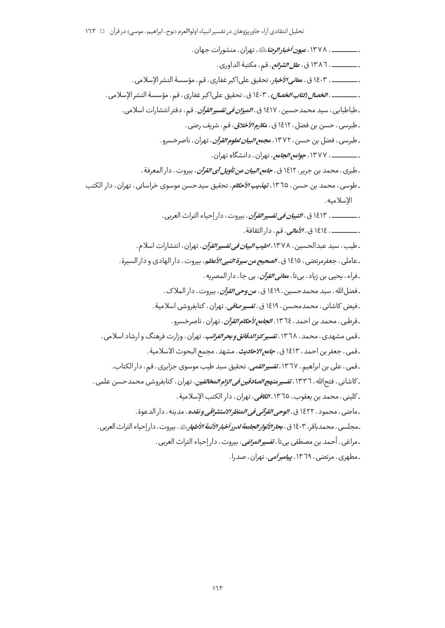ـ \_\_\_\_\_\_\_\_\_\_ ، ١٣٧٨، *عيون أخبار الرضا*يطةِ، تهران ، منشورات جهان . ــــــــــــــــ ، ١٣٨٦ ق ، *علل الشرائع ،* قم ، مكتبة الداوري . ـــــــــــــــ ، ١٤٠٣ ق ، م*عاني الأخبا*ر، تحقيق على اكبر غفاري ، قم ، مؤسسة النشر الإسلامي . ـ ــــــــــــــ ، *الخصال (تتاب الخصال* ، ١٤٠٣ ق ، تحقيق على|كبر غفاري ، قم ، مؤسسة النشر الإسلامي . ـ طباطبايي ، سيد محمدحسين ، ١٤١٧ ق ، *الميزان في تفسير القرآن* ، قم ، دفتر انتشارات اسلامي . ـ طبرسی ، حسن بن فضل ، ١٤١٢ ق ، م*کارم الأخلاق* ، قم ، شریف رضی . ـ طبرسی ، فضل بن حسن ، ۱۳۷۲، م*جمع البیان لعلوم القرآن* ، تهران ، ناصرخسرو . - \_\_\_\_\_\_\_\_\_\_\_ ، ١٣٧٧، ج*وامع الجامع ،* تهران ، دانشگاه تهران . ـ طبري ، محمد بن جرير ، ١٤١٢ ق ، *جامع البيان عن تأويل آي القرآن* ، بيروت ، دار المعرفة . ـ طوسي، محمد بن حسن، ١٣٦٥، *تهذيب الأحكام*، تحقيق سيدحسن موسوى خراساني، تهران، دار الكتب الاسلامية. ـــــــــــــ ، ١٤١٣ ق ، *التبيان في تفسير القرآن* ، بيروت ، دار إحياء التراث العربي . ــــــــــــــــ ، ١٤١٤ ق ، *الأمالي*، قم ، دار الثقافة . ـ طيب ، سيد عبدالحسين ، ١٣٧٨ ، *اطيب البيان في تفسير القرآن* ، تهران ، انتشارات اسلام . ـعاملي ، جعفرمرتضي ، ١٤١٥ ق ، *الصحيح من سيرة النبي الأعظ*م، بيروت ، دار الهادي و دار السيرة . ۔فراء ، يحيى بن زياد ، بي تا ، *معانے ،القرآن* ، بي جا ، دار المصريه . ۔فضل الله ، سید محمدحسین ، ١٤١٩ ق ، م*ن وحی القرآن* ، پیروت ، دار الملاک . ۔فیض کاشانی ، محمدمحسن ، ۱۶۱۹ ق ، *تفسیرصافی* ، تهران ، کتابفروشی اسلامیة . ـ قرطبي ، محمد بن احمد ، ١٣٦٤ ، *الجامع لأحكام القرآن* ، تهران ، ناصرخسرو . ـقمی مشهدی، محمد، ۱۳٦۸، *تفسیر کنزالدقائق و بحرالغرائب*، تهران، وزارت فرهنگ و ارشاد اسلامی. ـقمى، جعفر بن احمد، ١٤١٣ ق، *جامع الاحاديث*، مشهد، مجمع البحوث الاسلامية . ۔قمی، علی بن ابراهیم، ١٣٦٧، *تفسیر القمی*، تحقیق سی*د* طیب موسوی جزایری، قم، دار الکتاب. ـ كاشاني ، فتح|لله ، ١٣٣٦، *تفسير منهج الصادقين في الزام المخالفين* ، تهران ، كتابفروشي محمد حسن علمي . ـ كليني ، محمد بن يعقوب ، ١٣٦٥ ، *الكافي*، تهران ، دار الكتب الإسلامية . ـ ماضي ، محمود ، ١٤٢٢ ق ، *الوحي القرآني في المنظر الاستشراقي و نقده* ، مدينه ، دار الدعوة . ـمجلسي ، محمدباقر ، ۱۶۰۳ ق ، ب*حارالأنوار الجامعة لدرر أخبار الأئمة الأطهار ب*ي ، بيروت ، دار إحياء التراث العربي . ـ مراغي ، أحمد بن مصطفى بي¤ا ، *تفسير المراغي* ، بيروت ، دار إحياء التراث العربي . ۔مطهری ، مرتضی ، ۱۳٦۹، *پیامبر أمی*، تهران ، صدرا.